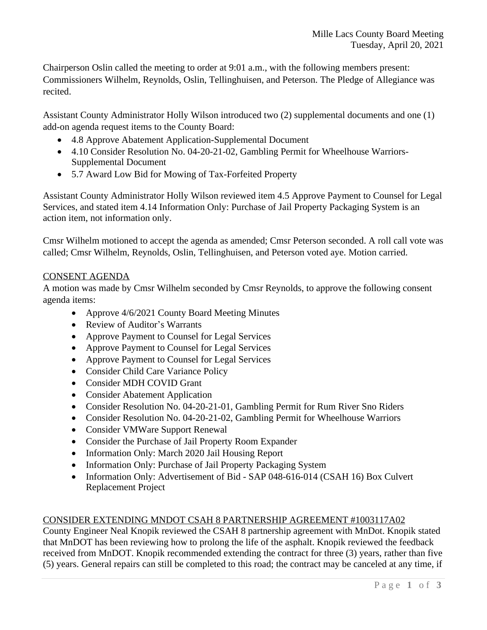Chairperson Oslin called the meeting to order at 9:01 a.m., with the following members present: Commissioners Wilhelm, Reynolds, Oslin, Tellinghuisen, and Peterson. The Pledge of Allegiance was recited.

Assistant County Administrator Holly Wilson introduced two (2) supplemental documents and one (1) add-on agenda request items to the County Board:

- 4.8 Approve Abatement Application-Supplemental Document
- 4.10 Consider Resolution No. 04-20-21-02, Gambling Permit for Wheelhouse Warriors-Supplemental Document
- 5.7 Award Low Bid for Mowing of Tax-Forfeited Property

Assistant County Administrator Holly Wilson reviewed item 4.5 Approve Payment to Counsel for Legal Services, and stated item 4.14 Information Only: Purchase of Jail Property Packaging System is an action item, not information only.

Cmsr Wilhelm motioned to accept the agenda as amended; Cmsr Peterson seconded. A roll call vote was called; Cmsr Wilhelm, Reynolds, Oslin, Tellinghuisen, and Peterson voted aye. Motion carried.

### CONSENT AGENDA

A motion was made by Cmsr Wilhelm seconded by Cmsr Reynolds, to approve the following consent agenda items:

- Approve 4/6/2021 County Board Meeting Minutes
- Review of Auditor's Warrants
- Approve Payment to Counsel for Legal Services
- Approve Payment to Counsel for Legal Services
- Approve Payment to Counsel for Legal Services
- Consider Child Care Variance Policy
- Consider MDH COVID Grant
- Consider Abatement Application
- Consider Resolution No. 04-20-21-01, Gambling Permit for Rum River Sno Riders
- Consider Resolution No. 04-20-21-02, Gambling Permit for Wheelhouse Warriors
- Consider VMWare Support Renewal
- Consider the Purchase of Jail Property Room Expander
- Information Only: March 2020 Jail Housing Report
- Information Only: Purchase of Jail Property Packaging System
- Information Only: Advertisement of Bid SAP 048-616-014 (CSAH 16) Box Culvert Replacement Project

#### CONSIDER EXTENDING MNDOT CSAH 8 PARTNERSHIP AGREEMENT #1003117A02

County Engineer Neal Knopik reviewed the CSAH 8 partnership agreement with MnDot. Knopik stated that MnDOT has been reviewing how to prolong the life of the asphalt. Knopik reviewed the feedback received from MnDOT. Knopik recommended extending the contract for three (3) years, rather than five (5) years. General repairs can still be completed to this road; the contract may be canceled at any time, if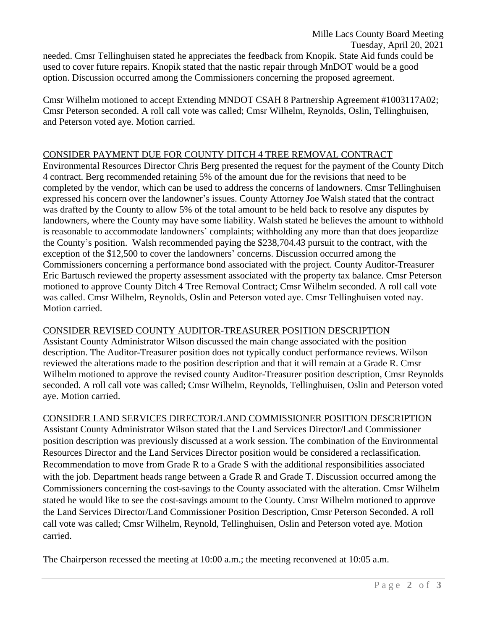Cmsr Wilhelm motioned to accept Extending MNDOT CSAH 8 Partnership Agreement #1003117A02; Cmsr Peterson seconded. A roll call vote was called; Cmsr Wilhelm, Reynolds, Oslin, Tellinghuisen, and Peterson voted aye. Motion carried.

# CONSIDER PAYMENT DUE FOR COUNTY DITCH 4 TREE REMOVAL CONTRACT

Environmental Resources Director Chris Berg presented the request for the payment of the County Ditch 4 contract. Berg recommended retaining 5% of the amount due for the revisions that need to be completed by the vendor, which can be used to address the concerns of landowners. Cmsr Tellinghuisen expressed his concern over the landowner's issues. County Attorney Joe Walsh stated that the contract was drafted by the County to allow 5% of the total amount to be held back to resolve any disputes by landowners, where the County may have some liability. Walsh stated he believes the amount to withhold is reasonable to accommodate landowners' complaints; withholding any more than that does jeopardize the County's position. Walsh recommended paying the \$238,704.43 pursuit to the contract, with the exception of the \$12,500 to cover the landowners' concerns. Discussion occurred among the Commissioners concerning a performance bond associated with the project. County Auditor-Treasurer Eric Bartusch reviewed the property assessment associated with the property tax balance. Cmsr Peterson motioned to approve County Ditch 4 Tree Removal Contract; Cmsr Wilhelm seconded. A roll call vote was called. Cmsr Wilhelm, Reynolds, Oslin and Peterson voted aye. Cmsr Tellinghuisen voted nay. Motion carried.

# CONSIDER REVISED COUNTY AUDITOR-TREASURER POSITION DESCRIPTION

Assistant County Administrator Wilson discussed the main change associated with the position description. The Auditor-Treasurer position does not typically conduct performance reviews. Wilson reviewed the alterations made to the position description and that it will remain at a Grade R. Cmsr Wilhelm motioned to approve the revised county Auditor-Treasurer position description, Cmsr Reynolds seconded. A roll call vote was called; Cmsr Wilhelm, Reynolds, Tellinghuisen, Oslin and Peterson voted aye. Motion carried.

# CONSIDER LAND SERVICES DIRECTOR/LAND COMMISSIONER POSITION DESCRIPTION

Assistant County Administrator Wilson stated that the Land Services Director/Land Commissioner position description was previously discussed at a work session. The combination of the Environmental Resources Director and the Land Services Director position would be considered a reclassification. Recommendation to move from Grade R to a Grade S with the additional responsibilities associated with the job. Department heads range between a Grade R and Grade T. Discussion occurred among the Commissioners concerning the cost-savings to the County associated with the alteration. Cmsr Wilhelm stated he would like to see the cost-savings amount to the County. Cmsr Wilhelm motioned to approve the Land Services Director/Land Commissioner Position Description, Cmsr Peterson Seconded. A roll call vote was called; Cmsr Wilhelm, Reynold, Tellinghuisen, Oslin and Peterson voted aye. Motion carried.

The Chairperson recessed the meeting at 10:00 a.m.; the meeting reconvened at 10:05 a.m.